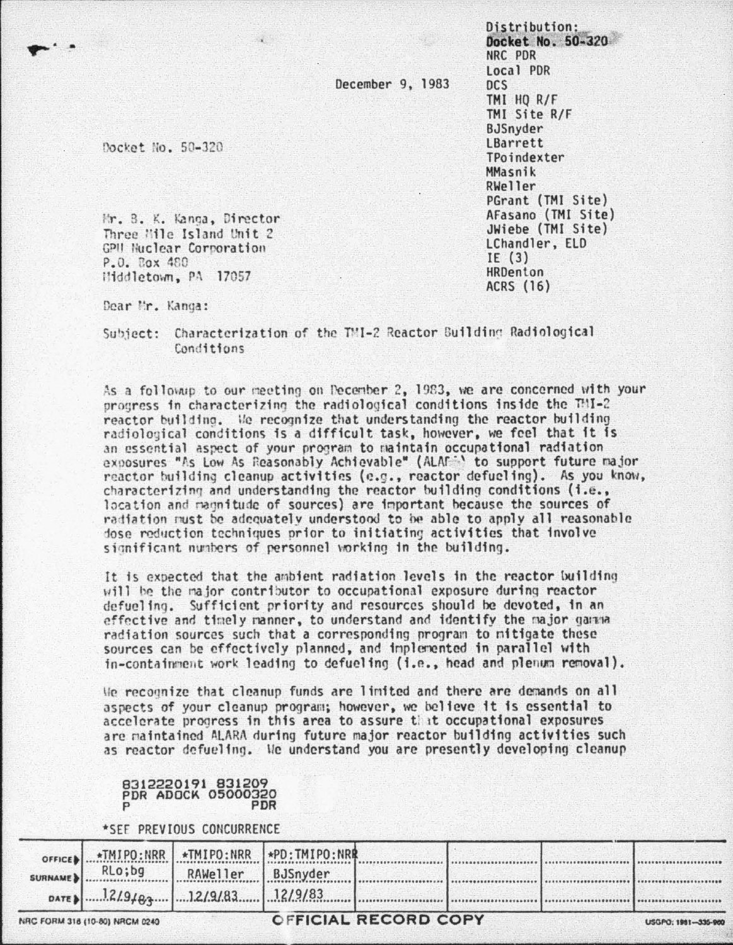December 9, 1983

Docket No. 50-320

Mr. B. K. Kanga, Director Three Hile Island Unit 2 GPH Nuclear Corporation P.O. Cox 480 Hiddletown, PA 17057

Distribution: Docket No. 50-320 NRC PDR Local PDR  $DCS$ TMI HO R/F TMI Site R/F BJSnyder **I Barrett** TPoindexter MMasnik RWeller PGrant (TMI Site) AFasano (TMI Site) JWiebe (TMI Site) LChandler, ELD IE $(3)$ **HRDenton ACRS (16)** 

Dear Mr. Kanga:

Subject: Characterization of the TMI-2 Reactor Building Radiological Conditions

As a followip to our meeting on Pecember 2. 1983. we are concerned with your progress in characterizing the radiological conditions inside the TMI-2 reactor building. We recognize that understanding the reactor building radiological conditions is a difficult task, however, we feel that it is an essential aspect of your program to maintain occupational radiation exposures "As Low As Reasonably Achievable" (ALAF: to support future major reactor building cleanup activities (e.g., reactor defueling). As you know, characterizing and understanding the reactor building conditions (i.e., location and magnitude of sources) are important because the sources of radiation must be adequately understood to be able to apply all reasonable dose reduction techniques prior to initiating activities that involve significant numbers of personnel vorking in the building.

It is expected that the ambient radiation levels in the reactor building will be the major contributor to occupational exposure during reactor defueling. Sufficient priority and resources should be devoted, in an effective and timely manner, to understand and identify the major gamma radiation sources such that a corresponding program to mitigate these sources can be effectively planned, and implemented in parallel with in-containment work leading to defueling (i.e., head and plenum removal).

We recognize that cleanup funds are limited and there are demands on all aspects of your cleanup program; however, we believe it is essential to accelerate progress in this area to assure that occupational exposures are maintained ALARA during future major reactor building activities such as reactor defueling. We understand you are presently developing cleanup

## 8312220191 831209 **PDR ADOCK 05000320 PDR**

\*SEF PREVIOUS CONCURRENCE

| NRC FORM 318 (10-80) NRCM 0240 |                                               |                   | <b>OFFICIAL RECORD COPY</b> |  |  |  | USGPO: 1981-335-900 |
|--------------------------------|-----------------------------------------------|-------------------|-----------------------------|--|--|--|---------------------|
|                                |                                               |                   |                             |  |  |  |                     |
|                                | SURNAME BLO; bg                               | RAWeller BJSnyder |                             |  |  |  |                     |
|                                | OFFICE TMIPO:NRR   *TMIPO:NRR   *PD:TMIPO:NRR |                   |                             |  |  |  |                     |